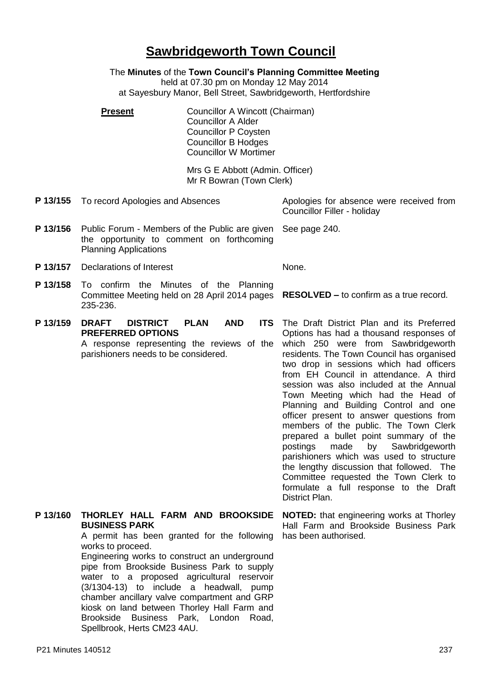# **Sawbridgeworth Town Council**

The **Minutes** of the **Town Council's Planning Committee Meeting**

held at 07.30 pm on Monday 12 May 2014 at Sayesbury Manor, Bell Street, Sawbridgeworth, Hertfordshire

**Present Councillor A Wincott (Chairman)** Councillor A Alder Councillor P Coysten Councillor B Hodges Councillor W Mortimer

> Mrs G E Abbott (Admin. Officer) Mr R Bowran (Town Clerk)

**P 13/155** To record Apologies and Absences Apologies for absence were received from

Councillor Filler - holiday

**P 13/156** Public Forum - Members of the Public are given the opportunity to comment on forthcoming Planning Applications See page 240.

**P 13/157** Declarations of Interest None.

**RESOLVED –** to confirm as a true record.

235-236. **P 13/159 DRAFT DISTRICT PLAN AND ITS PREFERRED OPTIONS**

**P 13/158** To confirm the Minutes of the Planning

A response representing the reviews of the parishioners needs to be considered.

Committee Meeting held on 28 April 2014 pages

The Draft District Plan and its Preferred Options has had a thousand responses of which 250 were from Sawbridgeworth residents. The Town Council has organised two drop in sessions which had officers from EH Council in attendance. A third session was also included at the Annual Town Meeting which had the Head of Planning and Building Control and one officer present to answer questions from members of the public. The Town Clerk prepared a bullet point summary of the postings made by Sawbridgeworth parishioners which was used to structure the lengthy discussion that followed. The Committee requested the Town Clerk to formulate a full response to the Draft District Plan.

**P 13/160 THORLEY HALL FARM AND BROOKSIDE BUSINESS PARK**

A permit has been granted for the following works to proceed.

Engineering works to construct an underground pipe from Brookside Business Park to supply water to a proposed agricultural reservoir (3/1304-13) to include a headwall, pump chamber ancillary valve compartment and GRP kiosk on land between Thorley Hall Farm and Brookside Business Park, London Road, Spellbrook, Herts CM23 4AU.

**NOTED:** that engineering works at Thorley Hall Farm and Brookside Business Park has been authorised.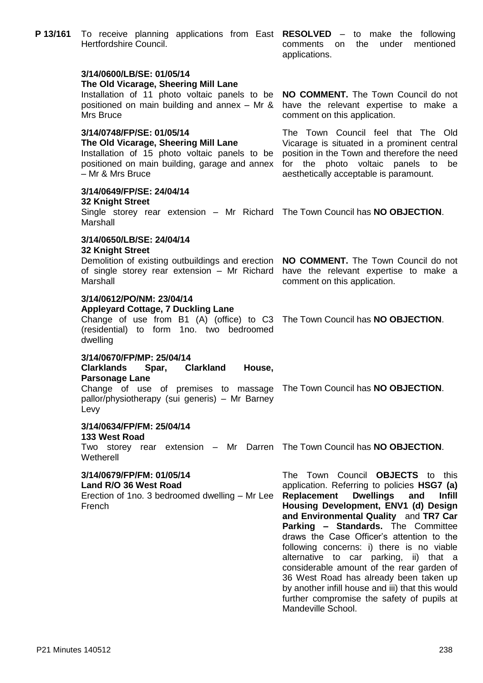French

| The Town Council has NO OBJECTION.                                                                                                                                                                                                                                                                                                                                                                                                                                                                                                                                                               |
|--------------------------------------------------------------------------------------------------------------------------------------------------------------------------------------------------------------------------------------------------------------------------------------------------------------------------------------------------------------------------------------------------------------------------------------------------------------------------------------------------------------------------------------------------------------------------------------------------|
| The Town Council OBJECTS to this<br>application. Referring to policies HSG7 (a)<br>Replacement Dwellings and<br>Infill<br>Housing Development, ENV1 (d) Design<br>and Environmental Quality and TR7 Car<br>Parking - Standards. The Committee<br>draws the Case Officer's attention to the<br>following concerns: i) there is no viable<br>alternative to car parking, ii) that a<br>considerable amount of the rear garden of<br>36 West Road has already been taken up<br>by another infill house and iii) that this would<br>further compromise the safety of pupils at<br>Mandeville School. |
| 238                                                                                                                                                                                                                                                                                                                                                                                                                                                                                                                                                                                              |

**3/14/0634/FP/FM: 25/04/14 133 West Road** Two storey rear extension – Mr Darren **Wetherell** 

**3/14/0670/FP/MP: 25/04/14 Clarklands Spar, Clarkland House,** 

# **Parsonage Lane**

Erection of 1no. 3 bedroomed dwelling – Mr Lee

Change of use of premises to massage The Town Council has **NO OBJECTION**. pallor/physiotherapy (sui generis) – Mr Barney Levy

dwelling

**Appleyard Cottage, 7 Duckling Lane** Change of use from B1 (A) (office) to C3 The Town Council has **NO OBJECTION**. (residential) to form 1no. two bedroomed

of single storey rear extension – Mr Richard Marshall

**3/14/0612/PO/NM: 23/04/14**

- 
- 

Demolition of existing outbuildings and erection

**3/14/0679/FP/FM: 01/05/14 Land R/O 36 West Road**

Single storey rear extension – Mr Richard The Town Council has **NO OBJECTION**.

**32 Knight Street** Marshall

### **3/14/0650/LB/SE: 24/04/14 32 Knight Street**

– Mr & Mrs Bruce

Hertfordshire Council.

Mrs Bruce

**3/14/0600/LB/SE: 01/05/14**

**3/14/0748/FP/SE: 01/05/14**

**3/14/0649/FP/SE: 24/04/14**

**The Old Vicarage, Sheering Mill Lane**

**The Old Vicarage, Sheering Mill Lane**

Installation of 11 photo voltaic panels to be positioned on main building and annex – Mr &

Installation of 15 photo voltaic panels to be positioned on main building, garage and annex

> **NO COMMENT.** The Town Council do not have the relevant expertise to make a comment on this application.

**NO COMMENT.** The Town Council do not have the relevant expertise to make a comment on this application.

The Town Council feel that The Old Vicarage is situated in a prominent central position in the Town and therefore the need for the photo voltaic panels to be aesthetically acceptable is paramount.

**P 13/161** To receive planning applications from East **RESOLVED** – to make the following comments on the under mentioned applications.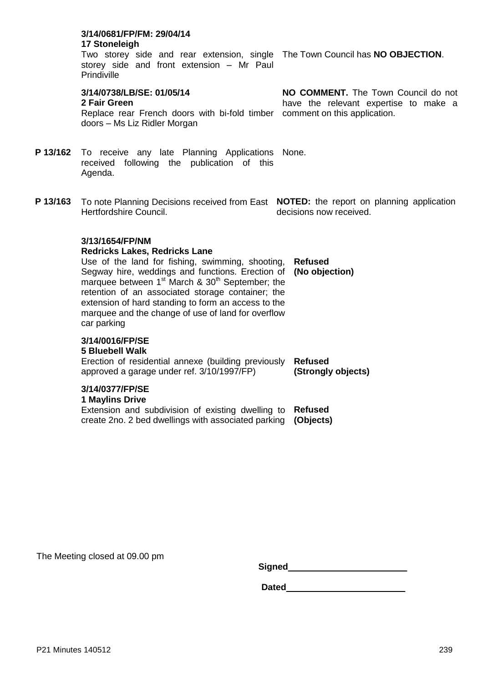|          | 3/14/0681/FP/FM: 29/04/14<br>17 Stoneleigh<br>Two storey side and rear extension, single The Town Council has NO OBJECTION.<br>storey side and front extension - Mr Paul<br>Prindiville                                                                                                                                                                                                                                     |                                                                              |
|----------|-----------------------------------------------------------------------------------------------------------------------------------------------------------------------------------------------------------------------------------------------------------------------------------------------------------------------------------------------------------------------------------------------------------------------------|------------------------------------------------------------------------------|
|          | 3/14/0738/LB/SE: 01/05/14<br>2 Fair Green<br>Replace rear French doors with bi-fold timber comment on this application.<br>doors - Ms Liz Ridler Morgan                                                                                                                                                                                                                                                                     | NO COMMENT. The Town Council do not<br>have the relevant expertise to make a |
| P 13/162 | To receive any late Planning Applications None.<br>received following the publication of this<br>Agenda.                                                                                                                                                                                                                                                                                                                    |                                                                              |
| P 13/163 | To note Planning Decisions received from East NOTED: the report on planning application<br>Hertfordshire Council.                                                                                                                                                                                                                                                                                                           | decisions now received.                                                      |
|          | 3/13/1654/FP/NM<br><b>Redricks Lakes, Redricks Lane</b><br>Use of the land for fishing, swimming, shooting,<br>Segway hire, weddings and functions. Erection of<br>marquee between 1 <sup>st</sup> March & 30 <sup>th</sup> September; the<br>retention of an associated storage container; the<br>extension of hard standing to form an access to the<br>marquee and the change of use of land for overflow<br>car parking | <b>Refused</b><br>(No objection)                                             |
|          | 3/14/0016/FP/SE<br><b>5 Bluebell Walk</b><br>Erection of residential annexe (building previously<br>approved a garage under ref. 3/10/1997/FP)                                                                                                                                                                                                                                                                              | <b>Refused</b><br>(Strongly objects)                                         |
|          | 3/14/0377/FP/SE<br><b>1 Maylins Drive</b><br>Extension and subdivision of existing dwelling to Refused<br>create 2no. 2 bed dwellings with associated parking                                                                                                                                                                                                                                                               | (Objects)                                                                    |

The Meeting closed at 09.00 pm

| Signed<br>ञ |  |
|-------------|--|
|             |  |

**Dated**\_\_\_\_\_\_\_\_\_\_\_\_\_\_\_\_\_\_\_\_\_\_\_\_